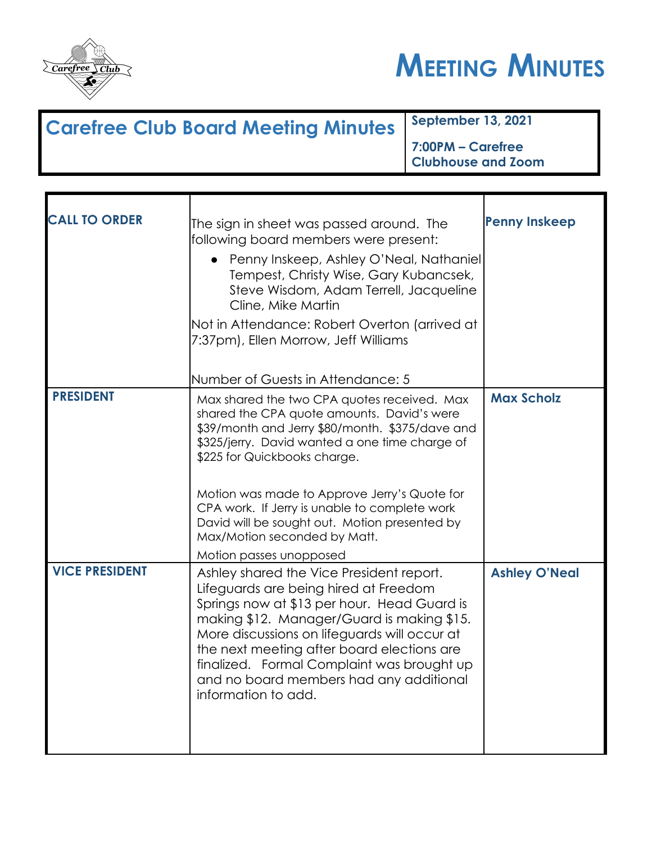



## **Carefree Club Board Meeting Minutes September 13, 2021 7:00PM – Carefree Clubhouse and Zoom**

| <b>CALL TO ORDER</b>  | The sign in sheet was passed around. The<br>following board members were present:<br>• Penny Inskeep, Ashley O'Neal, Nathaniel<br>Tempest, Christy Wise, Gary Kubancsek,<br>Steve Wisdom, Adam Terrell, Jacqueline<br>Cline, Mike Martin<br>Not in Attendance: Robert Overton (arrived at<br>7:37pm), Ellen Morrow, Jeff Williams                                                                                                           | <b>Penny Inskeep</b> |
|-----------------------|---------------------------------------------------------------------------------------------------------------------------------------------------------------------------------------------------------------------------------------------------------------------------------------------------------------------------------------------------------------------------------------------------------------------------------------------|----------------------|
|                       | Number of Guests in Attendance: 5                                                                                                                                                                                                                                                                                                                                                                                                           |                      |
| <b>PRESIDENT</b>      | Max shared the two CPA quotes received. Max<br>shared the CPA quote amounts. David's were<br>\$39/month and Jerry \$80/month. \$375/dave and<br>\$325/jerry. David wanted a one time charge of<br>\$225 for Quickbooks charge.<br>Motion was made to Approve Jerry's Quote for<br>CPA work. If Jerry is unable to complete work<br>David will be sought out. Motion presented by<br>Max/Motion seconded by Matt.<br>Motion passes unopposed | <b>Max Scholz</b>    |
| <b>VICE PRESIDENT</b> | Ashley shared the Vice President report.<br>Lifeguards are being hired at Freedom<br>Springs now at \$13 per hour. Head Guard is<br>making \$12. Manager/Guard is making \$15.<br>More discussions on lifeguards will occur at<br>the next meeting after board elections are<br>finalized. Formal Complaint was brought up<br>and no board members had any additional<br>information to add.                                                | <b>Ashley O'Neal</b> |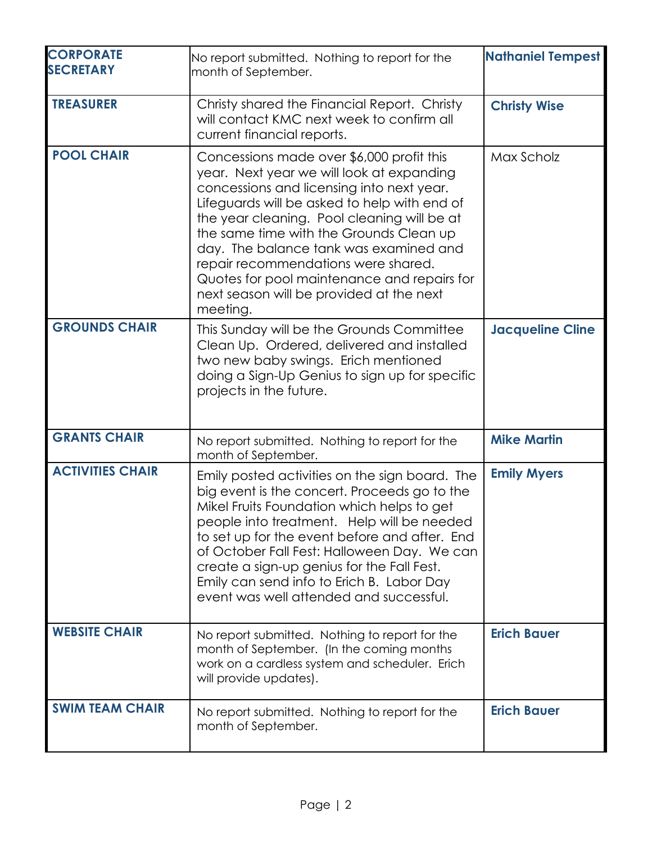| <b>CORPORATE</b><br><b>SECRETARY</b> | No report submitted. Nothing to report for the                                                                                                                                                                                                                                                                                                                                                                                                                        | <b>Nathaniel Tempest</b> |
|--------------------------------------|-----------------------------------------------------------------------------------------------------------------------------------------------------------------------------------------------------------------------------------------------------------------------------------------------------------------------------------------------------------------------------------------------------------------------------------------------------------------------|--------------------------|
|                                      | month of September.                                                                                                                                                                                                                                                                                                                                                                                                                                                   |                          |
| <b>TREASURER</b>                     | Christy shared the Financial Report. Christy<br>will contact KMC next week to confirm all<br>current financial reports.                                                                                                                                                                                                                                                                                                                                               | <b>Christy Wise</b>      |
| <b>POOL CHAIR</b>                    | Concessions made over \$6,000 profit this<br>year. Next year we will look at expanding<br>concessions and licensing into next year.<br>Lifeguards will be asked to help with end of<br>the year cleaning. Pool cleaning will be at<br>the same time with the Grounds Clean up<br>day. The balance tank was examined and<br>repair recommendations were shared.<br>Quotes for pool maintenance and repairs for<br>next season will be provided at the next<br>meeting. | Max Scholz               |
| <b>GROUNDS CHAIR</b>                 | This Sunday will be the Grounds Committee<br>Clean Up. Ordered, delivered and installed<br>two new baby swings. Erich mentioned<br>doing a Sign-Up Genius to sign up for specific<br>projects in the future.                                                                                                                                                                                                                                                          | <b>Jacqueline Cline</b>  |
| <b>GRANTS CHAIR</b>                  | No report submitted. Nothing to report for the<br>month of September.                                                                                                                                                                                                                                                                                                                                                                                                 | <b>Mike Martin</b>       |
| <b>ACTIVITIES CHAIR</b>              | Emily posted activities on the sign board. The<br>big event is the concert. Proceeds go to the<br>Mikel Fruits Foundation which helps to get<br>people into treatment. Help will be needed<br>to set up for the event before and after. End<br>of October Fall Fest: Halloween Day. We can<br>create a sign-up genius for the Fall Fest.<br>Emily can send info to Erich B. Labor Day<br>event was well attended and successful.                                      | <b>Emily Myers</b>       |
| <b>WEBSITE CHAIR</b>                 | No report submitted. Nothing to report for the<br>month of September. (In the coming months<br>work on a cardless system and scheduler. Erich<br>will provide updates).                                                                                                                                                                                                                                                                                               | <b>Erich Bauer</b>       |
| <b>SWIM TEAM CHAIR</b>               | No report submitted. Nothing to report for the<br>month of September.                                                                                                                                                                                                                                                                                                                                                                                                 | <b>Erich Bauer</b>       |